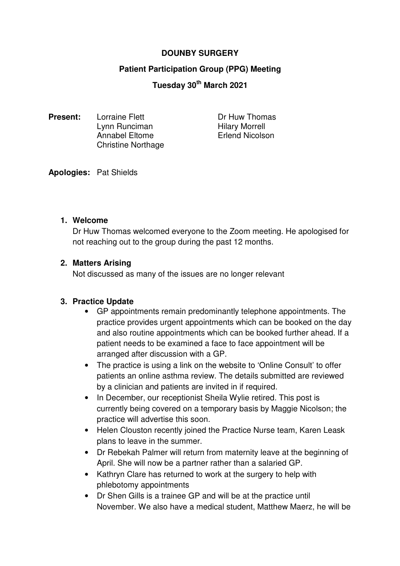# **DOUNBY SURGERY**

# **Patient Participation Group (PPG) Meeting**

# **Tuesday 30th March 2021**

**Present:** Lorraine Flett **Dr Huw Thomas**<br>
Lynn Runciman<br>
Hilary Morrell Lynn Runciman Annabel Eltome **Erlend Nicolson** Christine Northage

**Apologies:** Pat Shields

#### **1. Welcome**

Dr Huw Thomas welcomed everyone to the Zoom meeting. He apologised for not reaching out to the group during the past 12 months.

### **2. Matters Arising**

Not discussed as many of the issues are no longer relevant

### **3. Practice Update**

- GP appointments remain predominantly telephone appointments. The practice provides urgent appointments which can be booked on the day and also routine appointments which can be booked further ahead. If a patient needs to be examined a face to face appointment will be arranged after discussion with a GP.
- The practice is using a link on the website to 'Online Consult' to offer patients an online asthma review. The details submitted are reviewed by a clinician and patients are invited in if required.
- In December, our receptionist Sheila Wylie retired. This post is currently being covered on a temporary basis by Maggie Nicolson; the practice will advertise this soon.
- Helen Clouston recently joined the Practice Nurse team, Karen Leask plans to leave in the summer.
- Dr Rebekah Palmer will return from maternity leave at the beginning of April. She will now be a partner rather than a salaried GP.
- Kathryn Clare has returned to work at the surgery to help with phlebotomy appointments
- Dr Shen Gills is a trainee GP and will be at the practice until November. We also have a medical student, Matthew Maerz, he will be